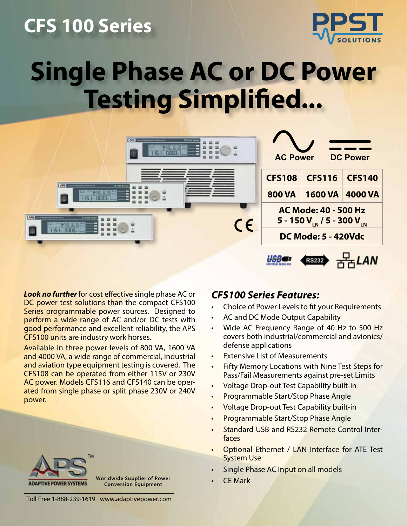### **CFS 100 Series**



## **Single Phase AC or DC Power Testing Simplified...**



*Look no further* for cost effective single phase AC or DC power test solutions than the compact CFS100 Series programmable power sources. Designed to perform a wide range of AC and/or DC tests with good performance and excellent reliability, the APS CFS100 units are industry work horses.

Available in three power levels of 800 VA, 1600 VA and 4000 VA, a wide range of commercial, industrial and aviation type equipment testing is covered. The CFS108 can be operated from either 115V or 230V AC power. Models CFS116 and CFS140 can be operated from single phase or split phase 230V or 240V power.

# TM

**Worldwide Supplier of Power Conversion Equipment**

### *CFS100 Series Features:*

- Choice of Power Levels to fit your Requirements
- AC and DC Mode Output Capability
- Wide AC Frequency Range of 40 Hz to 500 Hz covers both industrial/commercial and avionics/ defense applications
- **Extensive List of Measurements**
- Fifty Memory Locations with Nine Test Steps for Pass/Fail Measurements against pre-set Limits
- Voltage Drop-out Test Capability built-in
- Programmable Start/Stop Phase Angle
- Voltage Drop-out Test Capability built-in
- Programmable Start/Stop Phase Angle
- Standard USB and RS232 Remote Control Interfaces
- Optional Ethernet / LAN Interface for ATE Test System Use
- Single Phase AC Input on all models
- **CF Mark**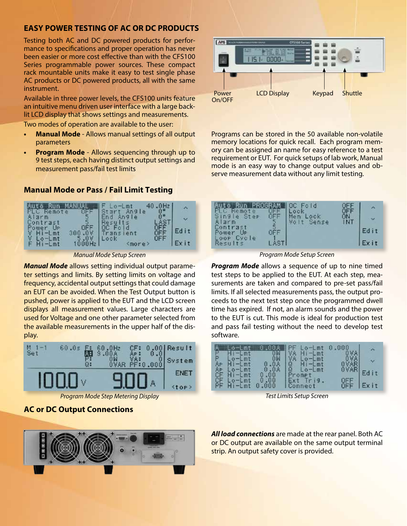#### **EASY POWER TESTING OF AC OR DC PRODUCTS**

Testing both AC and DC powered products for performance to specifications and proper operation has never been easier or more cost effective than with the CFS100 Series programmable power sources. These compact rack mountable units make it easy to test single phase AC products or DC powered products, all with the same instrument.

Available in three power levels, the CFS100 units feature an intuitive menu driven user interface with a large backlit LCD display that shows settings and measurements.

Two modes of operation are available to the user:

- **• Manual Mode** Allows manual settings of all output parameters
- **• Program Mode** Allows sequencing through up to 9 test steps, each having distinct output settings and measurement pass/fail test limits

#### **Manual Mode or Pass / Fail Limit Testing**



*Manual Mode Setup Screen Program Mode Setup Screen*

*Manual Mode* allows setting individual output parameter settings and limits. By setting limits on voltage and frequency, accidental output settings that could damage an EUT can be avoided. When the Test Output button is pushed, power is applied to the EUT and the LCD screen displays all measurement values. Large characters are used for Voltage and one other parameter selected from the available measurements in the upper half of the display.



*Program Mode Step Metering Display Test Limits Setup Screen*

#### **AC or DC Output Connections**





Programs can be stored in the 50 available non-volatile memory locations for quick recall. Each program memory can be assigned an name for easy reference to a test requirement or EUT. For quick setups of lab work, Manual mode is an easy way to change output values and observe measurement data without any limit testing.



*Program Mode* allows a sequence of up to nine timed test steps to be applied to the EUT. At each step, measurements are taken and compared to pre-set pass/fail limits. If all selected measurements pass, the output proceeds to the next test step once the programmed dwell time has expired. If not, an alarm sounds and the power to the EUT is cut. This mode is ideal for production test and pass fail testing without the need to develop test software.

|      |      | <b>Contract</b>            |                    |      |
|------|------|----------------------------|--------------------|------|
| $-1$ |      | $-1$ mt<br>$1$ mt          |                    |      |
|      |      | 8<br>$L$ mt<br>$L_0 - Lmt$ | <b>OVAR</b>        |      |
|      | 0.00 |                            |                    | i t  |
|      | 0.00 | Connect                    | QEE<br><b>TIFF</b> | Exit |

*All load connections* are made at the rear panel. Both AC or DC output are available on the same output terminal strip. An output safety cover is provided.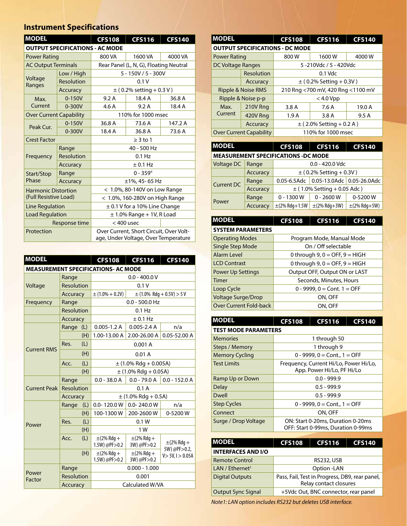#### **Instrument Specifications**

| <b>MODEL</b><br><b>CFS108</b>     |                                        |                                                                                 | <b>CFS116</b>                          | <b>CFS140</b> |  |
|-----------------------------------|----------------------------------------|---------------------------------------------------------------------------------|----------------------------------------|---------------|--|
|                                   | <b>OUTPUT SPECIFICATIONS - AC MODE</b> |                                                                                 |                                        |               |  |
| <b>Power Rating</b>               |                                        | 800 VA                                                                          | 1600 VA                                | 4000 VA       |  |
| <b>AC Output Terminals</b>        |                                        |                                                                                 | Rear Panel (L, N, G), Floating Neutral |               |  |
|                                   | Low / High                             |                                                                                 | $5 - 150V / 5 - 300V$                  |               |  |
| Voltage<br>Ranges                 | Resolution                             | 0.1V                                                                            |                                        |               |  |
|                                   | Accuracy                               | $\pm$ (0.2% setting + 0.3 V)                                                    |                                        |               |  |
| Max.                              | $0 - 150V$                             | 9.2A                                                                            | 18.4 A                                 | 36.8 A        |  |
| Current                           | $0 - 300V$                             | 4.6 A<br>9.2A<br>18.4 A                                                         |                                        |               |  |
| <b>Over Current Capability</b>    |                                        |                                                                                 | 110% for 1000 msec                     |               |  |
| $0 - 150V$<br>Peak Cur.<br>0-300V |                                        | 36.8 A                                                                          | 73.6 A                                 | 147.2 A       |  |
|                                   |                                        | 18.4 A                                                                          | 36.8 A                                 | 73.6 A        |  |
| <b>Crest Factor</b>               |                                        | $\geq$ 3 to 1                                                                   |                                        |               |  |
|                                   | Range                                  |                                                                                 | 40 - 500 Hz                            |               |  |
| Frequency                         | Resolution                             | $0.1$ Hz                                                                        |                                        |               |  |
|                                   | Accuracy                               | ± 0.1 Hz                                                                        |                                        |               |  |
| Start/Stop                        | Range                                  | $0 - 359^{\circ}$                                                               |                                        |               |  |
| Phase<br>Accuracy                 |                                        | ±1%, 45-65 Hz                                                                   |                                        |               |  |
| <b>Harmonic Distortion</b>        |                                        | < 1.0%, 80-140V on Low Range                                                    |                                        |               |  |
| (Full Resistive Load)             |                                        | < 1.0%, 160-280V on High Range                                                  |                                        |               |  |
| Line Regulation                   |                                        | $\pm$ 0.1 V for a 10% Line Change                                               |                                        |               |  |
| <b>Load Regulation</b>            |                                        |                                                                                 | $\pm$ 1.0% Range + 1V, R Load          |               |  |
|                                   | Response time                          | $<$ 400 usec                                                                    |                                        |               |  |
| Protection                        |                                        | Over Current, Short Circuit, Over Volt-<br>age, Under Voltage, Over Temperature |                                        |               |  |

| <b>MODEL</b>        |                 |     | <b>CFS108</b>                              | <b>CFS116</b>                  | <b>CFS140</b>                     |
|---------------------|-----------------|-----|--------------------------------------------|--------------------------------|-----------------------------------|
|                     |                 |     | <b>MEASUREMENT SPECIFICATIONS- AC MODE</b> |                                |                                   |
| Range               |                 |     | $0.0 - 400.0 V$                            |                                |                                   |
| Voltage             | Resolution      |     |                                            | 0.1V                           |                                   |
|                     | Accuracy        |     | $\pm$ (1.0% + 0.2V)                        |                                | $\pm$ (1.0% Rdg + 0.5V) > 5 V     |
| Frequency           | Range           |     | $0.0 - 500.0$ Hz                           |                                |                                   |
|                     | Resolution      |     |                                            | $0.1$ Hz                       |                                   |
|                     | <b>Accuracy</b> |     | ± 0.1 Hz                                   |                                |                                   |
|                     | Range (L)       |     | $0.005 - 1.2 A$                            | $0.005 - 2.4 A$                | n/a                               |
|                     |                 | (H) | 1.00-13.00 A                               | 2.00-26.00 A                   | $0.05 - 52.00 A$                  |
| <b>Current RMS</b>  | Res.            | (L) |                                            | 0.001A                         |                                   |
|                     |                 | (H) | 0.01A                                      |                                |                                   |
|                     | Acc.            | (L) | $\pm$ (1.0% Rdg + 0.005A)                  |                                |                                   |
|                     |                 | (H) | $\pm$ (1.0% Rdg + 0.05A)                   |                                |                                   |
|                     | Range           |     | $0.0 - 38.0 A$                             | $0.0 - 79.0 A$                 | $0.0 - 152.0 A$                   |
| <b>Current Peak</b> | Resolution      |     | 0.1A                                       |                                |                                   |
|                     | Accuracy        |     | $±$ (1.0% Rdg + 0.5A)                      |                                |                                   |
|                     | Range           | (L) | $0.0 - 120.0 W$                            | $0.0 - 240.0 W$                | n/a                               |
|                     |                 | (H) | 100-1300W                                  | 200-2600W                      | 0-5200W                           |
| Power               | Res.            | (L) | 0.1 W                                      |                                |                                   |
|                     |                 | (H) | 1 W                                        |                                |                                   |
|                     | Acc.            | (L) | $\pm$ (2% Rdg +<br>$1.5W$ ) @PF $>0.2$     | $\pm$ (2% Rdg +<br>3W) @PF>0.2 | $\pm$ (2% Rdg +                   |
|                     |                 | (H) | $\pm$ (2% Rdg +<br>$1.5W$ ) @PF $>0.2$     | $\pm$ (2% Rdg +<br>3W) @PF>0.2 | 5W) @PF>0.2,<br>V > 5V, l > 0.05A |
|                     | Range           |     |                                            | $0.000 - 1.000$                |                                   |
| Power<br>Factor     | Resolution      |     |                                            | 0.001                          |                                   |
|                     | Accuracy        |     | Calculated W/VA                            |                                |                                   |

| <b>MODEL</b>                                         |                                                 | <b>CFS108</b><br><b>CFS116</b><br><b>CFS140</b> |       |        |  |  |
|------------------------------------------------------|-------------------------------------------------|-------------------------------------------------|-------|--------|--|--|
| <b>OUTPUT SPECIFICATIONS - DC MODE</b>               |                                                 |                                                 |       |        |  |  |
| <b>Power Rating</b>                                  |                                                 | 800W<br>1600W<br>4000 W                         |       |        |  |  |
| <b>DC Voltage Ranges</b>                             |                                                 | 5 -210Vdc / 5 - 420Vdc                          |       |        |  |  |
|                                                      | Resolution                                      | $0.1$ Vdc                                       |       |        |  |  |
|                                                      | Accuracy                                        | $\pm$ (0.2% Setting + 0.3V)                     |       |        |  |  |
|                                                      | <b>Ripple &amp; Noise RMS</b>                   | 210 Rng <700 mV, 420 Rng <1100 mV               |       |        |  |  |
|                                                      | Ripple & Noise p-p                              | $<$ 4.0 Vpp                                     |       |        |  |  |
| Max.                                                 | 210V Rng                                        | 3.8A                                            | 7.6 A | 19.0 A |  |  |
| Current                                              | 420V Rng                                        | 1.9 A                                           | 3.8 A | 9.5A   |  |  |
|                                                      | Accuracy                                        | $\pm$ (2.0% Setting + 0.2 A)                    |       |        |  |  |
| <b>Over Current Capability</b><br>110% for 1000 msec |                                                 |                                                 |       |        |  |  |
|                                                      |                                                 |                                                 |       |        |  |  |
| <b>MODEL</b>                                         | <b>CFS116</b><br><b>CFS108</b><br><b>CFS140</b> |                                                 |       |        |  |  |
| <b>MEASUREMENT SPECIFICATIONS -DC MODE</b>           |                                                 |                                                 |       |        |  |  |

| MEASUREMENT SPECIFICATIONS -DC MODE |          |                                 |                                       |                   |  |  |  |
|-------------------------------------|----------|---------------------------------|---------------------------------------|-------------------|--|--|--|
| Voltage DC                          | Range    | $0.0 - 420.0$ Vdc               |                                       |                   |  |  |  |
|                                     | Accuracy | $\pm$ (0.2% Setting +0.3V)      |                                       |                   |  |  |  |
| <b>Current DC</b>                   | Range    |                                 | 0.05-6.5Adc 0.05-13.0Adc 0.05-26.0Adc |                   |  |  |  |
|                                     | Accuracy | $\pm$ (1.0% Setting + 0.05 Adc) |                                       |                   |  |  |  |
| Power                               | Range    | $0 - 1300W$                     | $0 - 2600W$                           | 0-5200W           |  |  |  |
|                                     | Accuracy | $\pm$ (2% Rdg+1.5W              | $\pm$ (2% Rdg+3W)                     | $\pm$ (2% Rdg+5W) |  |  |  |

| <b>IMODEL</b>             | <b>CFS108</b>                      | <b>CFS116</b> | <b>CFS140</b> |  |  |  |
|---------------------------|------------------------------------|---------------|---------------|--|--|--|
| <b>SYSTEM PARAMETERS</b>  |                                    |               |               |  |  |  |
| <b>Operating Modes</b>    | Program Mode, Manual Mode          |               |               |  |  |  |
| Single Step Mode          | On / Off selectable                |               |               |  |  |  |
| Alarm Level               | 0 through $9, 0 =$ OFF, $9 =$ HIGH |               |               |  |  |  |
| <b>LCD Contrast</b>       | 0 through $9, 0 =$ OFF, $9 =$ HIGH |               |               |  |  |  |
| <b>Power Up Settings</b>  | Output OFF, Output ON or LAST      |               |               |  |  |  |
| Timer                     | Seconds, Minutes, Hours            |               |               |  |  |  |
| Loop Cycle                | $0 - 9999$ , $0 =$ Cont. $1 =$ OFF |               |               |  |  |  |
| <b>Voltage Surge/Drop</b> | ON, OFF                            |               |               |  |  |  |
| Over Current Fold-back    | ON, OFF                            |               |               |  |  |  |

| <b>MODEL</b>                | <b>CFS108</b><br><b>CFS116</b><br><b>CFS140</b>                         |  |  |  |  |  |  |
|-----------------------------|-------------------------------------------------------------------------|--|--|--|--|--|--|
| <b>TEST MODE PARAMETERS</b> |                                                                         |  |  |  |  |  |  |
| <b>Memories</b>             | 1 through 50                                                            |  |  |  |  |  |  |
| Steps / Memory              | 1 through 9                                                             |  |  |  |  |  |  |
| <b>Memory Cycling</b>       | $0 - 9999$ , $0 =$ Cont., $1 =$ OFF                                     |  |  |  |  |  |  |
| <b>Test Limits</b>          | Frequency, Current Hi/Lo, Power Hi/Lo,<br>App. Power Hi/Lo, PF Hi/Lo    |  |  |  |  |  |  |
| Ramp Up or Down             | $0.0 - 999.9$                                                           |  |  |  |  |  |  |
| <b>Delay</b>                | $0.5 - 999.9$                                                           |  |  |  |  |  |  |
| <b>Dwell</b>                | $0.5 - 999.9$                                                           |  |  |  |  |  |  |
| <b>Step Cycles</b>          | $0 - 9999$ , $0 =$ Cont., $1 =$ OFF                                     |  |  |  |  |  |  |
| Connect                     | ON, OFF                                                                 |  |  |  |  |  |  |
| Surge / Drop Voltage        | ON: Start 0-20ms, Duration 0-20ms<br>OFF: Start 0-99ms, Duration 0-99ms |  |  |  |  |  |  |

| <b>IMODEL</b>               | <b>CFS108</b>                                                            | <b>CFS116</b> | <b>CFS140</b> |
|-----------------------------|--------------------------------------------------------------------------|---------------|---------------|
| <b>INTERFACES AND I/O</b>   |                                                                          |               |               |
| <b>Remote Control</b>       | <b>RS232, USB</b>                                                        |               |               |
| LAN / Ethernet <sup>1</sup> | Option -LAN                                                              |               |               |
| <b>Digital Outputs</b>      | Pass, Fail, Test in Progress, DB9, rear panel,<br>Relay contact closures |               |               |
| <b>Output Sync Signal</b>   | +5Vdc Out, BNC connector, rear panel                                     |               |               |

*Note1: LAN option includes RS232 but deletes USB interface.*